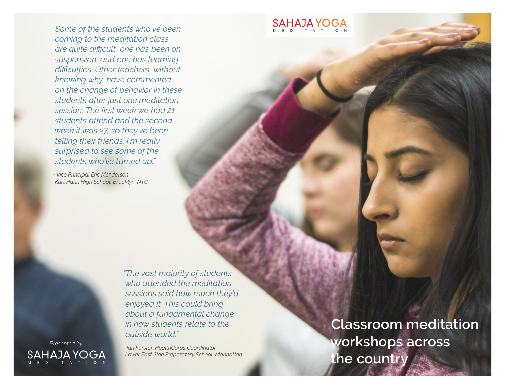*"Some of the students who've been coming to the meditation class are quite difficult, one has been on suspension, and one has learning difficulties. Other teachers, without knowing why, have commented on the change of behavior in these students after just one meditation session. The first week we had 21 students attend and the second week it was 27, so they've been telling their friends. I'm really surprised to see some of the students who've turned up."*

*- Vice Principal Eric Mendelson Kurt Hahn High School, Brooklyn, NYC*

> *"The vast majority of students who attended the meditation sessions said how much they'd enjoyed it. This could bring about a fundamental change in how students relate to the outside world."*

*Presented by:*GA TATION

*- Ian Forster, HealthCorps Coordinator Lower East Side Preparatory School, Manhattan*

**Classroom meditation workshops across the country**

SAHAJA YOGA MEDITATION